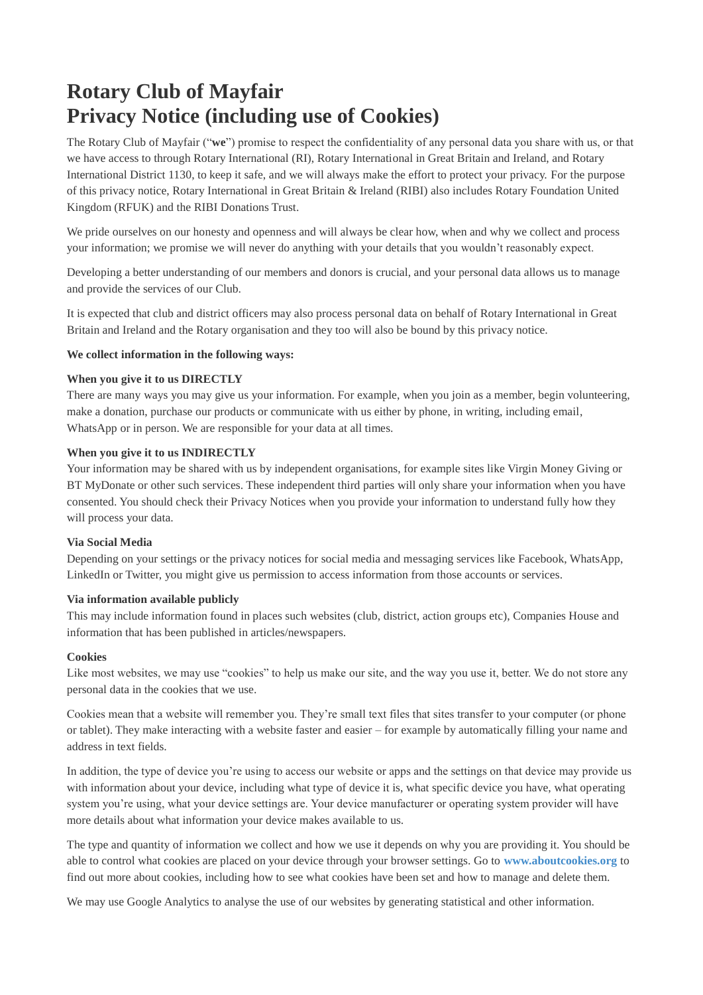# **Rotary Club of Mayfair Privacy Notice (including use of Cookies)**

The Rotary Club of Mayfair ("**we**") promise to respect the confidentiality of any personal data you share with us, or that we have access to through Rotary International (RI), Rotary International in Great Britain and Ireland, and Rotary International District 1130, to keep it safe, and we will always make the effort to protect your privacy. For the purpose of this privacy notice, Rotary International in Great Britain & Ireland (RIBI) also includes Rotary Foundation United Kingdom (RFUK) and the RIBI Donations Trust.

We pride ourselves on our honesty and openness and will always be clear how, when and why we collect and process your information; we promise we will never do anything with your details that you wouldn't reasonably expect.

Developing a better understanding of our members and donors is crucial, and your personal data allows us to manage and provide the services of our Club.

It is expected that club and district officers may also process personal data on behalf of Rotary International in Great Britain and Ireland and the Rotary organisation and they too will also be bound by this privacy notice.

## **We collect information in the following ways:**

#### **When you give it to us DIRECTLY**

There are many ways you may give us your information. For example, when you join as a member, begin volunteering, make a donation, purchase our products or communicate with us either by phone, in writing, including email, WhatsApp or in person. We are responsible for your data at all times.

#### **When you give it to us INDIRECTLY**

Your information may be shared with us by independent organisations, for example sites like Virgin Money Giving or BT MyDonate or other such services. These independent third parties will only share your information when you have consented. You should check their Privacy Notices when you provide your information to understand fully how they will process your data.

#### **Via Social Media**

Depending on your settings or the privacy notices for social media and messaging services like Facebook, WhatsApp, LinkedIn or Twitter, you might give us permission to access information from those accounts or services.

## **Via information available publicly**

This may include information found in places such websites (club, district, action groups etc), Companies House and information that has been published in articles/newspapers.

#### **Cookies**

Like most websites, we may use "cookies" to help us make our site, and the way you use it, better. We do not store any personal data in the cookies that we use.

Cookies mean that a website will remember you. They're small text files that sites transfer to your computer (or phone or tablet). They make interacting with a website faster and easier – for example by automatically filling your name and address in text fields.

In addition, the type of device you're using to access our website or apps and the settings on that device may provide us with information about your device, including what type of device it is, what specific device you have, what operating system you're using, what your device settings are. Your device manufacturer or operating system provider will have more details about what information your device makes available to us.

The type and quantity of information we collect and how we use it depends on why you are providing it. You should be able to control what cookies are placed on your device through your browser settings. Go to **[www.aboutcookies.org](http://www.aboutcookies.org/)** to find out more about cookies, including how to see what cookies have been set and how to manage and delete them.

We may use Google Analytics to analyse the use of our websites by generating statistical and other information.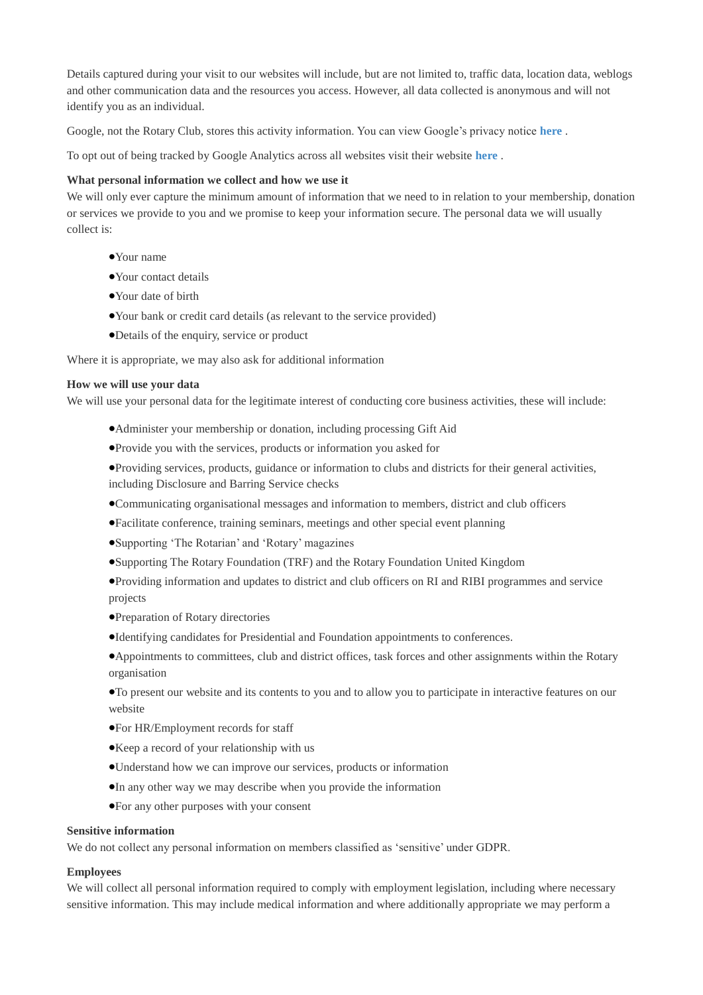Details captured during your visit to our websites will include, but are not limited to, traffic data, location data, weblogs and other communication data and the resources you access. However, all data collected is anonymous and will not identify you as an individual.

Google, not the Rotary Club, stores this activity information. You can view Google's privacy notice **[here](http://www.google.com/privacypolicy.html)** .

To opt out of being tracked by Google Analytics across all websites visit their website **[here](https://tools.google.com/dlpage/gaoptout)** .

# **What personal information we collect and how we use it**

We will only ever capture the minimum amount of information that we need to in relation to your membership, donation or services we provide to you and we promise to keep your information secure. The personal data we will usually collect is:

- •Your name
- •Your contact details
- •Your date of birth
- •Your bank or credit card details (as relevant to the service provided)
- •Details of the enquiry, service or product

Where it is appropriate, we may also ask for additional information

#### **How we will use your data**

We will use your personal data for the legitimate interest of conducting core business activities, these will include:

- •Administer your membership or donation, including processing Gift Aid
- •Provide you with the services, products or information you asked for
- •Providing services, products, guidance or information to clubs and districts for their general activities, including Disclosure and Barring Service checks
- •Communicating organisational messages and information to members, district and club officers
- •Facilitate conference, training seminars, meetings and other special event planning
- •Supporting 'The Rotarian' and 'Rotary' magazines
- •Supporting The Rotary Foundation (TRF) and the Rotary Foundation United Kingdom
- •Providing information and updates to district and club officers on RI and RIBI programmes and service projects
- •Preparation of Rotary directories
- •Identifying candidates for Presidential and Foundation appointments to conferences.

•Appointments to committees, club and district offices, task forces and other assignments within the Rotary organisation

•To present our website and its contents to you and to allow you to participate in interactive features on our website

- •For HR/Employment records for staff
- •Keep a record of your relationship with us
- •Understand how we can improve our services, products or information
- •In any other way we may describe when you provide the information
- •For any other purposes with your consent

# **Sensitive information**

We do not collect any personal information on members classified as 'sensitive' under GDPR.

## **Employees**

We will collect all personal information required to comply with employment legislation, including where necessary sensitive information. This may include medical information and where additionally appropriate we may perform a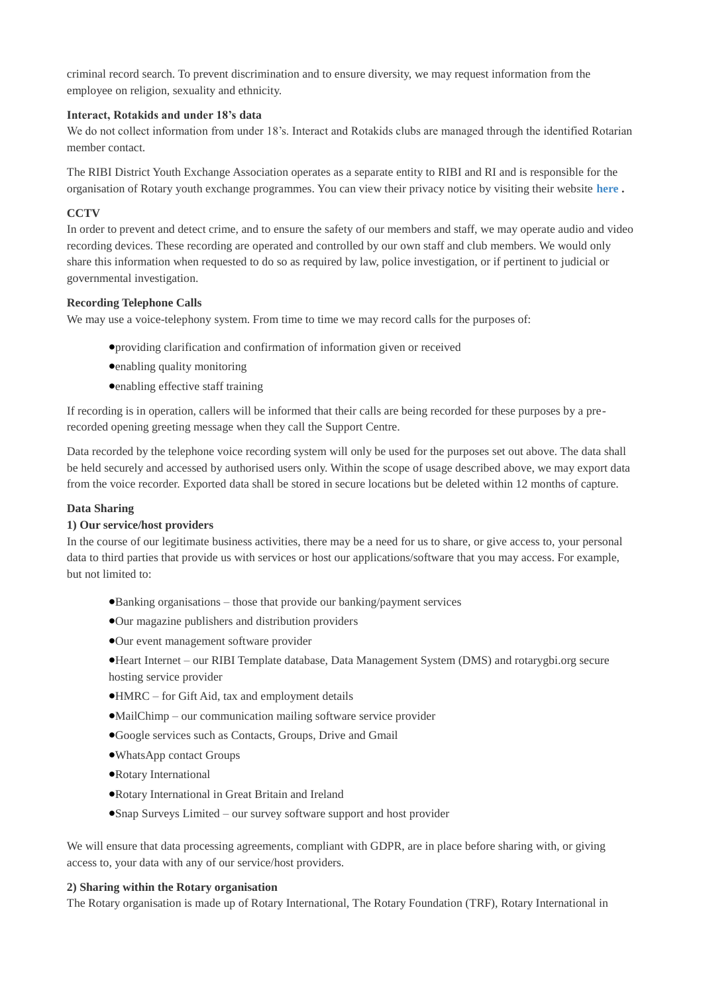criminal record search. To prevent discrimination and to ensure diversity, we may request information from the employee on religion, sexuality and ethnicity.

## **Interact, Rotakids and under 18's data**

We do not collect information from under 18's. Interact and Rotakids clubs are managed through the identified Rotarian member contact.

The RIBI District Youth Exchange Association operates as a separate entity to RIBI and RI and is responsible for the organisation of Rotary youth exchange programmes. You can view their privacy notice by visiting their website **[here](https://www.youthexchange.org.uk/) .**

## **CCTV**

In order to prevent and detect crime, and to ensure the safety of our members and staff, we may operate audio and video recording devices. These recording are operated and controlled by our own staff and club members. We would only share this information when requested to do so as required by law, police investigation, or if pertinent to judicial or governmental investigation.

## **Recording Telephone Calls**

We may use a voice-telephony system. From time to time we may record calls for the purposes of:

- •providing clarification and confirmation of information given or received
- •enabling quality monitoring
- •enabling effective staff training

If recording is in operation, callers will be informed that their calls are being recorded for these purposes by a prerecorded opening greeting message when they call the Support Centre.

Data recorded by the telephone voice recording system will only be used for the purposes set out above. The data shall be held securely and accessed by authorised users only. Within the scope of usage described above, we may export data from the voice recorder. Exported data shall be stored in secure locations but be deleted within 12 months of capture.

## **Data Sharing**

## **1) Our service/host providers**

In the course of our legitimate business activities, there may be a need for us to share, or give access to, your personal data to third parties that provide us with services or host our applications/software that you may access. For example, but not limited to:

- •Banking organisations those that provide our banking/payment services
- •Our magazine publishers and distribution providers
- •Our event management software provider

•Heart Internet – our RIBI Template database, Data Management System (DMS) and rotarygbi.org secure hosting service provider

- •HMRC for Gift Aid, tax and employment details
- •MailChimp our communication mailing software service provider
- •Google services such as Contacts, Groups, Drive and Gmail
- •WhatsApp contact Groups
- •Rotary International
- •Rotary International in Great Britain and Ireland
- •Snap Surveys Limited our survey software support and host provider

We will ensure that data processing agreements, compliant with GDPR, are in place before sharing with, or giving access to, your data with any of our service/host providers.

## **2) Sharing within the Rotary organisation**

The Rotary organisation is made up of Rotary International, The Rotary Foundation (TRF), Rotary International in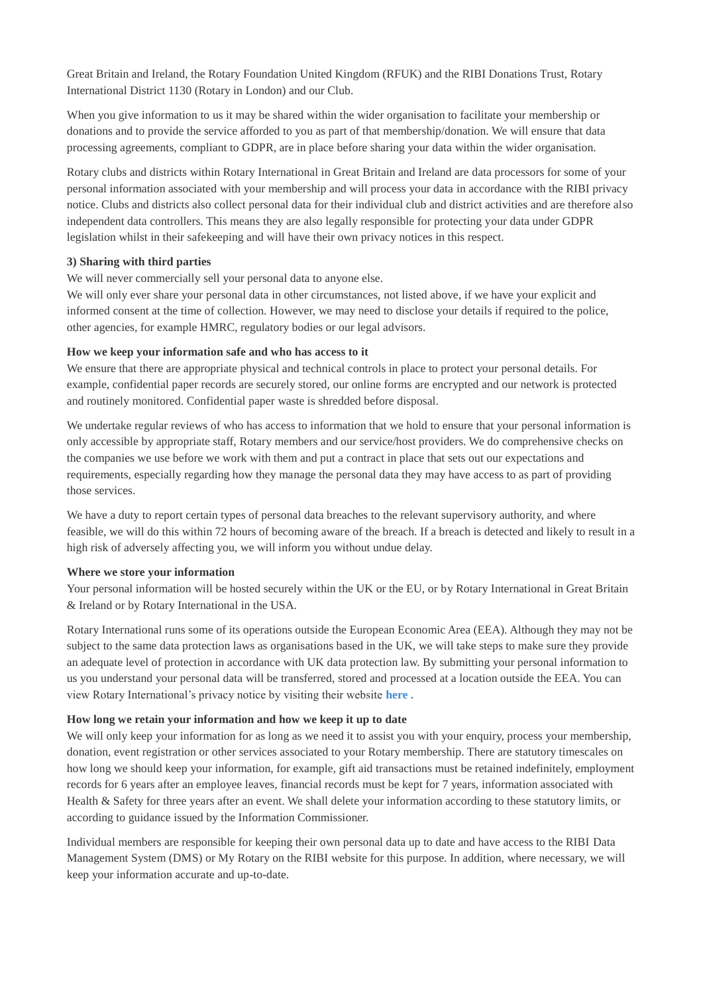Great Britain and Ireland, the Rotary Foundation United Kingdom (RFUK) and the RIBI Donations Trust, Rotary International District 1130 (Rotary in London) and our Club.

When you give information to us it may be shared within the wider organisation to facilitate your membership or donations and to provide the service afforded to you as part of that membership/donation. We will ensure that data processing agreements, compliant to GDPR, are in place before sharing your data within the wider organisation.

Rotary clubs and districts within Rotary International in Great Britain and Ireland are data processors for some of your personal information associated with your membership and will process your data in accordance with the RIBI privacy notice. Clubs and districts also collect personal data for their individual club and district activities and are therefore also independent data controllers. This means they are also legally responsible for protecting your data under GDPR legislation whilst in their safekeeping and will have their own privacy notices in this respect.

## **3) Sharing with third parties**

We will never commercially sell your personal data to anyone else.

We will only ever share your personal data in other circumstances, not listed above, if we have your explicit and informed consent at the time of collection. However, we may need to disclose your details if required to the police, other agencies, for example HMRC, regulatory bodies or our legal advisors.

#### **How we keep your information safe and who has access to it**

We ensure that there are appropriate physical and technical controls in place to protect your personal details. For example, confidential paper records are securely stored, our online forms are encrypted and our network is protected and routinely monitored. Confidential paper waste is shredded before disposal.

We undertake regular reviews of who has access to information that we hold to ensure that your personal information is only accessible by appropriate staff, Rotary members and our service/host providers. We do comprehensive checks on the companies we use before we work with them and put a contract in place that sets out our expectations and requirements, especially regarding how they manage the personal data they may have access to as part of providing those services.

We have a duty to report certain types of personal data breaches to the relevant supervisory authority, and where feasible, we will do this within 72 hours of becoming aware of the breach. If a breach is detected and likely to result in a high risk of adversely affecting you, we will inform you without undue delay.

#### **Where we store your information**

Your personal information will be hosted securely within the UK or the EU, or by Rotary International in Great Britain & Ireland or by Rotary International in the USA.

Rotary International runs some of its operations outside the European Economic Area (EEA). Although they may not be subject to the same data protection laws as organisations based in the UK, we will take steps to make sure they provide an adequate level of protection in accordance with UK data protection law. By submitting your personal information to us you understand your personal data will be transferred, stored and processed at a location outside the EEA. You can view Rotary International's privacy notice by visiting their website **[here](https://my.rotary.org/en/privacy-policy) .**

## **How long we retain your information and how we keep it up to date**

We will only keep your information for as long as we need it to assist you with your enquiry, process your membership, donation, event registration or other services associated to your Rotary membership. There are statutory timescales on how long we should keep your information, for example, gift aid transactions must be retained indefinitely, employment records for 6 years after an employee leaves, financial records must be kept for 7 years, information associated with Health & Safety for three years after an event. We shall delete your information according to these statutory limits, or according to guidance issued by the Information Commissioner.

Individual members are responsible for keeping their own personal data up to date and have access to the RIBI Data Management System (DMS) or My Rotary on the RIBI website for this purpose. In addition, where necessary, we will keep your information accurate and up-to-date.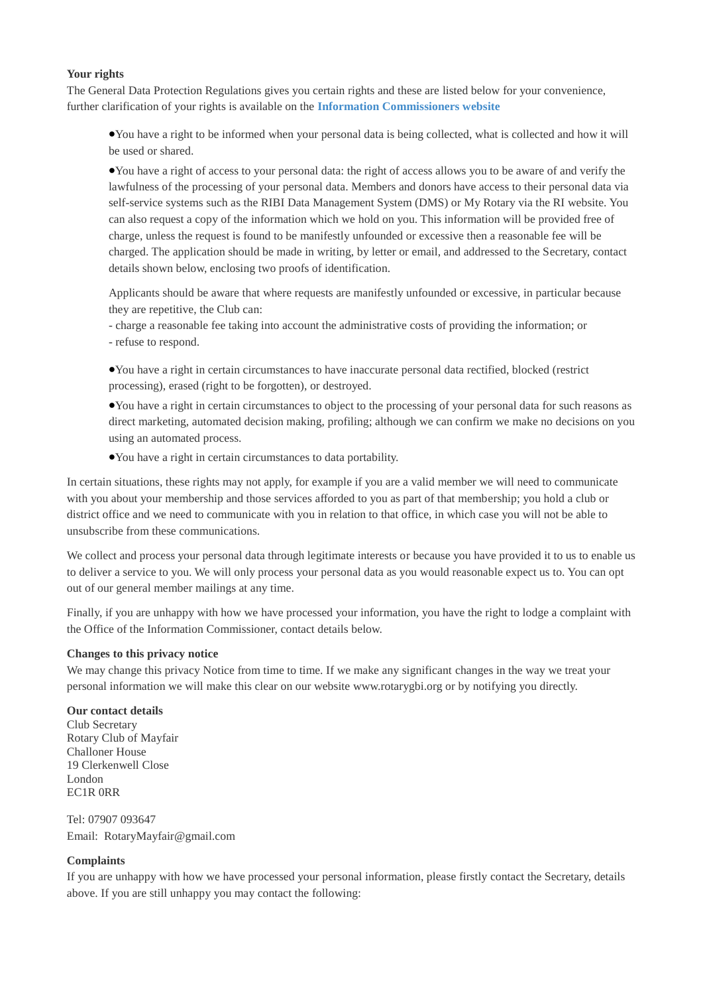#### **Your rights**

The General Data Protection Regulations gives you certain rights and these are listed below for your convenience, further clarification of your rights is available on the **[Information Commissioners website](https://ico.org.uk/for-organisations/guide-to-the-general-data-protection-regulation-gdpr/individual-rights/)**

•You have a right to be informed when your personal data is being collected, what is collected and how it will be used or shared.

•You have a right of access to your personal data: the right of access allows you to be aware of and verify the lawfulness of the processing of your personal data. Members and donors have access to their personal data via self-service systems such as the RIBI Data Management System (DMS) or My Rotary via the RI website. You can also request a copy of the information which we hold on you. This information will be provided free of charge, unless the request is found to be manifestly unfounded or excessive then a reasonable fee will be charged. The application should be made in writing, by letter or email, and addressed to the Secretary, contact details shown below, enclosing two proofs of identification.

Applicants should be aware that where requests are manifestly unfounded or excessive, in particular because they are repetitive, the Club can:

- charge a reasonable fee taking into account the administrative costs of providing the information; or - refuse to respond.

•You have a right in certain circumstances to have inaccurate personal data rectified, blocked (restrict processing), erased (right to be forgotten), or destroyed.

•You have a right in certain circumstances to object to the processing of your personal data for such reasons as direct marketing, automated decision making, profiling; although we can confirm we make no decisions on you using an automated process.

•You have a right in certain circumstances to data portability.

In certain situations, these rights may not apply, for example if you are a valid member we will need to communicate with you about your membership and those services afforded to you as part of that membership; you hold a club or district office and we need to communicate with you in relation to that office, in which case you will not be able to unsubscribe from these communications.

We collect and process your personal data through legitimate interests or because you have provided it to us to enable us to deliver a service to you. We will only process your personal data as you would reasonable expect us to. You can opt out of our general member mailings at any time.

Finally, if you are unhappy with how we have processed your information, you have the right to lodge a complaint with the Office of the Information Commissioner, contact details below.

## **Changes to this privacy notice**

We may change this privacy Notice from time to time. If we make any significant changes in the way we treat your personal information we will make this clear on our website www.rotarygbi.org or by notifying you directly.

#### **Our contact details**

Club Secretary Rotary Club of Mayfair Challoner House 19 Clerkenwell Close London EC1R 0RR

Tel: 07907 093647 Email: RotaryMayfair@gmail.com

## **Complaints**

If you are unhappy with how we have processed your personal information, please firstly contact the Secretary, details above. If you are still unhappy you may contact the following: